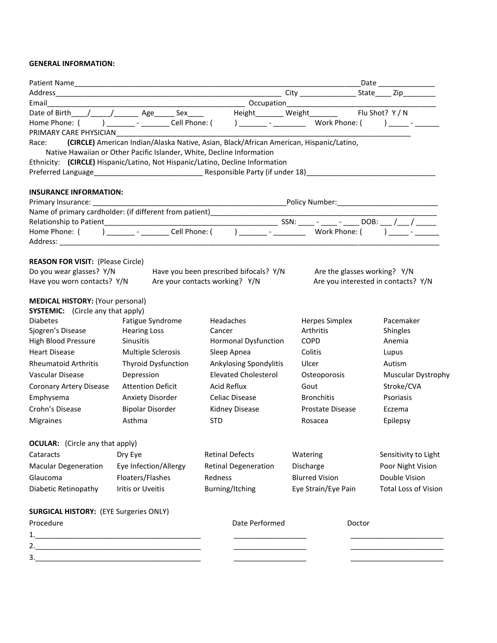## **GENERAL INFORMATION:**

| Email                                                                |                                                                                  |                                                                                                 |                                               |                                     |
|----------------------------------------------------------------------|----------------------------------------------------------------------------------|-------------------------------------------------------------------------------------------------|-----------------------------------------------|-------------------------------------|
|                                                                      | Date of Birth / / / Age Sex                                                      |                                                                                                 | Height________ Weight_______                  | Flu Shot? Y / N                     |
|                                                                      | Home Phone: ( ) _______ - _______ Cell Phone: (                                  |                                                                                                 |                                               |                                     |
| PRIMARY CARE PHYSICIAN                                               |                                                                                  |                                                                                                 |                                               |                                     |
| Race:                                                                | Native Hawaiian or Other Pacific Islander, White, Decline Information            | (CIRCLE) American Indian/Alaska Native, Asian, Black/African American, Hispanic/Latino,         |                                               |                                     |
|                                                                      |                                                                                  | Ethnicity: (CIRCLE) Hispanic/Latino, Not Hispanic/Latino, Decline Information                   |                                               |                                     |
|                                                                      |                                                                                  |                                                                                                 |                                               |                                     |
|                                                                      |                                                                                  |                                                                                                 |                                               |                                     |
| <b>INSURANCE INFORMATION:</b>                                        |                                                                                  |                                                                                                 |                                               |                                     |
|                                                                      |                                                                                  |                                                                                                 | _Policy Number:______________________________ |                                     |
|                                                                      | Name of primary cardholder: (if different from patient)_________________________ |                                                                                                 |                                               |                                     |
|                                                                      |                                                                                  |                                                                                                 |                                               |                                     |
|                                                                      |                                                                                  | Home Phone: ( ) _________ - _________ Cell Phone: ( ) ________ - ________________ Work Phone: ( |                                               |                                     |
|                                                                      |                                                                                  |                                                                                                 |                                               |                                     |
|                                                                      |                                                                                  |                                                                                                 |                                               |                                     |
| <b>REASON FOR VISIT: (Please Circle)</b><br>Do you wear glasses? Y/N |                                                                                  | Have you been prescribed bifocals? Y/N                                                          | Are the glasses working? Y/N                  |                                     |
| Have you worn contacts? Y/N                                          |                                                                                  | Are your contacts working? Y/N                                                                  |                                               | Are you interested in contacts? Y/N |
|                                                                      |                                                                                  |                                                                                                 |                                               |                                     |
| <b>MEDICAL HISTORY: (Your personal)</b>                              |                                                                                  |                                                                                                 |                                               |                                     |
| <b>SYSTEMIC:</b> (Circle any that apply)                             |                                                                                  |                                                                                                 |                                               |                                     |
| <b>Diabetes</b>                                                      | Fatigue Syndrome                                                                 | Headaches                                                                                       | Herpes Simplex                                | Pacemaker                           |
| Sjogren's Disease                                                    | <b>Hearing Loss</b>                                                              | Cancer                                                                                          | Arthritis                                     | Shingles                            |
| High Blood Pressure                                                  | <b>Sinusitis</b>                                                                 | <b>Hormonal Dysfunction</b>                                                                     | <b>COPD</b>                                   | Anemia                              |
| <b>Heart Disease</b>                                                 | Multiple Sclerosis                                                               | Sleep Apnea                                                                                     | Colitis                                       | Lupus                               |
| <b>Rheumatoid Arthritis</b>                                          | <b>Thyroid Dysfunction</b>                                                       | Ankylosing Spondylitis                                                                          | Ulcer                                         | Autism                              |
| Vascular Disease                                                     | Depression                                                                       | <b>Elevated Cholesterol</b>                                                                     | Osteoporosis                                  | Muscular Dystrophy                  |
| Coronary Artery Disease                                              | <b>Attention Deficit</b>                                                         | <b>Acid Reflux</b>                                                                              | Gout                                          | Stroke/CVA                          |
| Emphysema                                                            | Anxiety Disorder                                                                 | Celiac Disease                                                                                  | <b>Bronchitis</b>                             | Psoriasis                           |
| Crohn's Disease                                                      | <b>Bipolar Disorder</b>                                                          | Kidney Disease                                                                                  | Prostate Disease                              | Eczema                              |
| <b>Migraines</b>                                                     | Asthma                                                                           | <b>STD</b>                                                                                      | Rosacea                                       | Epilepsy                            |
|                                                                      |                                                                                  |                                                                                                 |                                               |                                     |
| <b>OCULAR:</b> (Circle any that apply)                               |                                                                                  |                                                                                                 |                                               |                                     |
| Cataracts                                                            | Dry Eye                                                                          | <b>Retinal Defects</b>                                                                          | Watering                                      | Sensitivity to Light                |
| <b>Macular Degeneration</b>                                          | Eye Infection/Allergy                                                            | <b>Retinal Degeneration</b>                                                                     | Discharge                                     | Poor Night Vision                   |
| Glaucoma                                                             | Floaters/Flashes                                                                 | Redness                                                                                         | <b>Blurred Vision</b>                         | Double Vision                       |
|                                                                      |                                                                                  |                                                                                                 |                                               |                                     |
| Diabetic Retinopathy                                                 | Iritis or Uveitis                                                                | Burning/Itching                                                                                 | Eye Strain/Eye Pain                           | <b>Total Loss of Vision</b>         |
|                                                                      |                                                                                  |                                                                                                 |                                               |                                     |
| <b>SURGICAL HISTORY: (EYE Surgeries ONLY)</b>                        |                                                                                  |                                                                                                 |                                               |                                     |
| Procedure                                                            |                                                                                  | Date Performed                                                                                  | Doctor                                        |                                     |
| 1.                                                                   |                                                                                  |                                                                                                 |                                               |                                     |
|                                                                      |                                                                                  |                                                                                                 |                                               |                                     |
|                                                                      |                                                                                  |                                                                                                 |                                               |                                     |